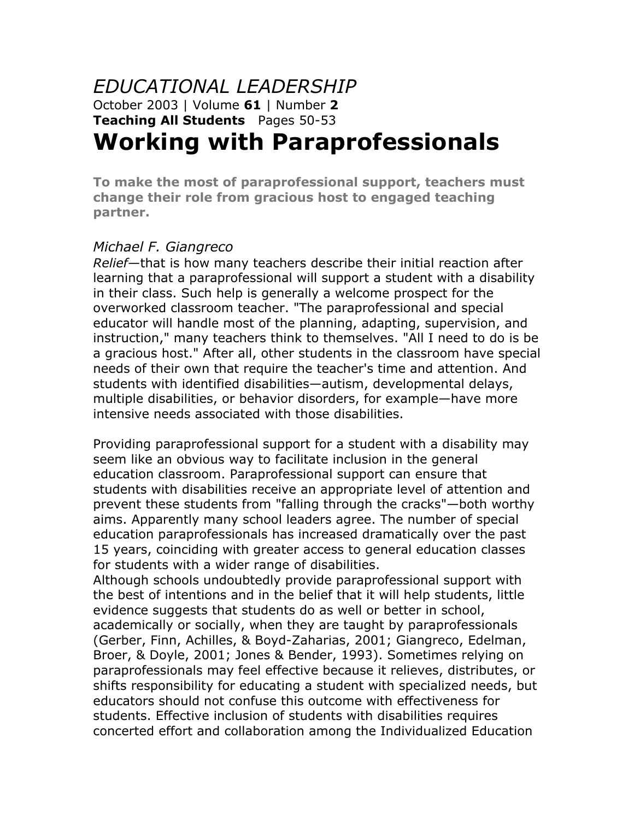#### *EDUCATIONAL LEADERSHIP* October 2003 | Volume **61** | Number **2 Teaching All Students** Pages 50-53 **Working with Paraprofessionals**

# **To make the most of paraprofessional support, teachers must change their role from gracious host to engaged teaching**

**partner.**

*Michael F. Giangreco Relief*—that is how many teachers describe their initial reaction after learning that a paraprofessional will support a student with a disability in their class. Such help is generally a welcome prospect for the overworked classroom teacher. "The paraprofessional and special educator will handle most of the planning, adapting, supervision, and instruction," many teachers think to themselves. "All I need to do is be a gracious host." After all, other students in the classroom have special needs of their own that require the teacher's time and attention. And students with identified disabilities—autism, developmental delays, multiple disabilities, or behavior disorders, for example—have more intensive needs associated with those disabilities.

Providing paraprofessional support for a student with a disability may seem like an obvious way to facilitate inclusion in the general education classroom. Paraprofessional support can ensure that students with disabilities receive an appropriate level of attention and prevent these students from "falling through the cracks"—both worthy aims. Apparently many school leaders agree. The number of special education paraprofessionals has increased dramatically over the past 15 years, coinciding with greater access to general education classes for students with a wider range of disabilities.

Although schools undoubtedly provide paraprofessional support with the best of intentions and in the belief that it will help students, little evidence suggests that students do as well or better in school, academically or socially, when they are taught by paraprofessionals (Gerber, Finn, Achilles, & Boyd-Zaharias, 2001; Giangreco, Edelman, Broer, & Doyle, 2001; Jones & Bender, 1993). Sometimes relying on paraprofessionals may feel effective because it relieves, distributes, or shifts responsibility for educating a student with specialized needs, but educators should not confuse this outcome with effectiveness for students. Effective inclusion of students with disabilities requires concerted effort and collaboration among the Individualized Education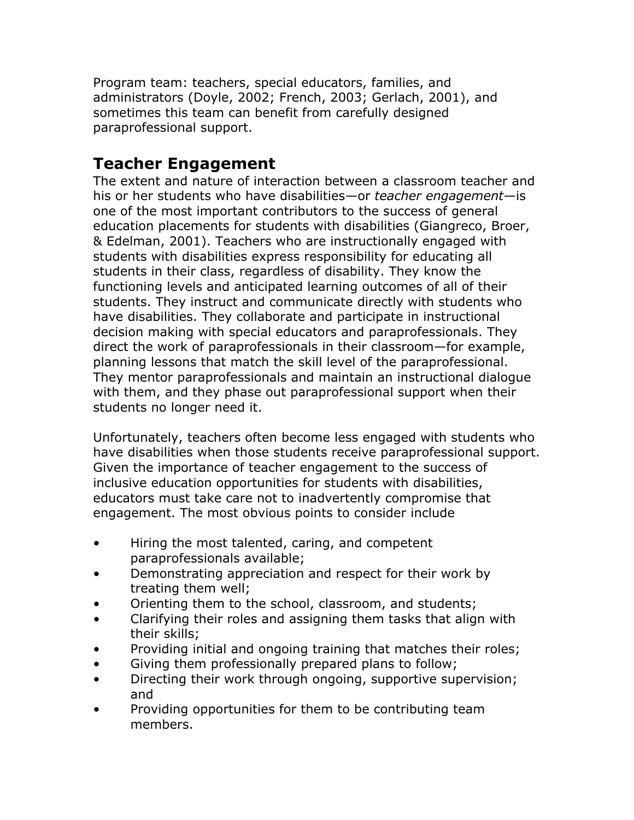Program team: teachers, special educators, families, and administrators (Doyle, 2002; French, 2003; Gerlach, 2001), and sometimes this team can benefit from carefully designed paraprofessional support.

### **Teacher Engagement**

The extent and nature of interaction between a classroom teacher and his or her students who have disabilities—or *teacher engagement*—is one of the most important contributors to the success of general education placements for students with disabilities (Giangreco, Broer, & Edelman, 2001). Teachers who are instructionally engaged with students with disabilities express responsibility for educating all students in their class, regardless of disability. They know the functioning levels and anticipated learning outcomes of all of their students. They instruct and communicate directly with students who have disabilities. They collaborate and participate in instructional decision making with special educators and paraprofessionals. They direct the work of paraprofessionals in their classroom—for example, planning lessons that match the skill level of the paraprofessional. They mentor paraprofessionals and maintain an instructional dialogue with them, and they phase out paraprofessional support when their students no longer need it.

Unfortunately, teachers often become less engaged with students who have disabilities when those students receive paraprofessional support. Given the importance of teacher engagement to the success of inclusive education opportunities for students with disabilities, educators must take care not to inadvertently compromise that engagement. The most obvious points to consider include

- Hiring the most talented, caring, and competent paraprofessionals available;
- Demonstrating appreciation and respect for their work by treating them well;
- Orienting them to the school, classroom, and students;
- Clarifying their roles and assigning them tasks that align with their skills;
- Providing initial and ongoing training that matches their roles;
- Giving them professionally prepared plans to follow;
- Directing their work through ongoing, supportive supervision; and
- Providing opportunities for them to be contributing team members.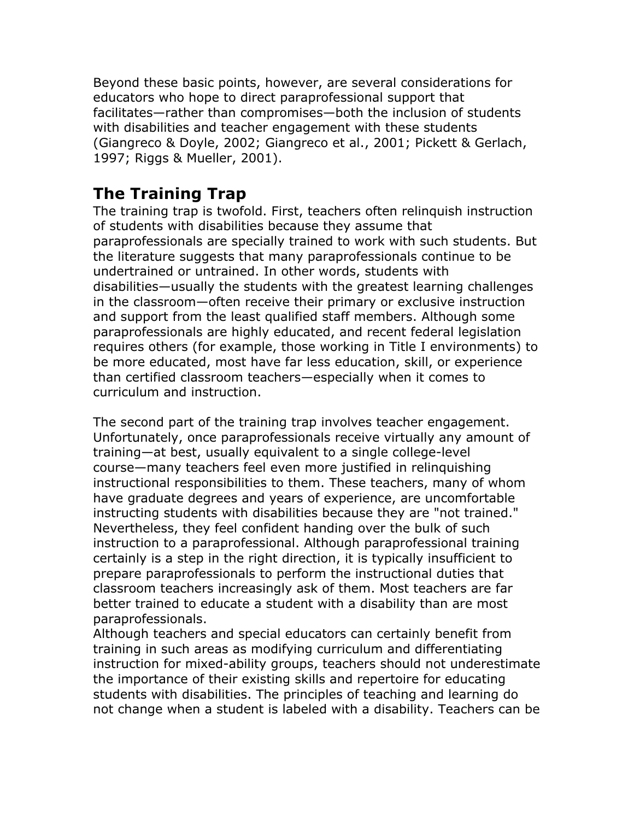Beyond these basic points, however, are several considerations for educators who hope to direct paraprofessional support that facilitates—rather than compromises—both the inclusion of students with disabilities and teacher engagement with these students (Giangreco & Doyle, 2002; Giangreco et al., 2001; Pickett & Gerlach, 1997; Riggs & Mueller, 2001).

#### **The Training Trap**

The training trap is twofold. First, teachers often relinquish instruction of students with disabilities because they assume that paraprofessionals are specially trained to work with such students. But the literature suggests that many paraprofessionals continue to be undertrained or untrained. In other words, students with disabilities—usually the students with the greatest learning challenges in the classroom—often receive their primary or exclusive instruction and support from the least qualified staff members. Although some paraprofessionals are highly educated, and recent federal legislation requires others (for example, those working in Title I environments) to be more educated, most have far less education, skill, or experience than certified classroom teachers—especially when it comes to curriculum and instruction.

The second part of the training trap involves teacher engagement. Unfortunately, once paraprofessionals receive virtually any amount of training—at best, usually equivalent to a single college-level course—many teachers feel even more justified in relinquishing instructional responsibilities to them. These teachers, many of whom have graduate degrees and years of experience, are uncomfortable instructing students with disabilities because they are "not trained." Nevertheless, they feel confident handing over the bulk of such instruction to a paraprofessional. Although paraprofessional training certainly is a step in the right direction, it is typically insufficient to prepare paraprofessionals to perform the instructional duties that classroom teachers increasingly ask of them. Most teachers are far better trained to educate a student with a disability than are most paraprofessionals.

Although teachers and special educators can certainly benefit from training in such areas as modifying curriculum and differentiating instruction for mixed-ability groups, teachers should not underestimate the importance of their existing skills and repertoire for educating students with disabilities. The principles of teaching and learning do not change when a student is labeled with a disability. Teachers can be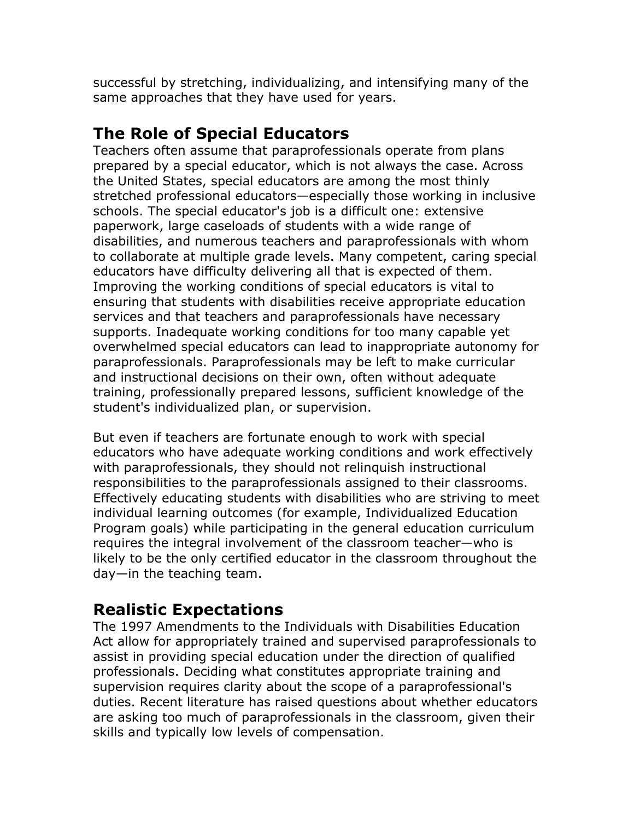successful by stretching, individualizing, and intensifying many of the same approaches that they have used for years.

#### **The Role of Special Educators**

Teachers often assume that paraprofessionals operate from plans prepared by a special educator, which is not always the case. Across the United States, special educators are among the most thinly stretched professional educators—especially those working in inclusive schools. The special educator's job is a difficult one: extensive paperwork, large caseloads of students with a wide range of disabilities, and numerous teachers and paraprofessionals with whom to collaborate at multiple grade levels. Many competent, caring special educators have difficulty delivering all that is expected of them. Improving the working conditions of special educators is vital to ensuring that students with disabilities receive appropriate education services and that teachers and paraprofessionals have necessary supports. Inadequate working conditions for too many capable yet overwhelmed special educators can lead to inappropriate autonomy for paraprofessionals. Paraprofessionals may be left to make curricular and instructional decisions on their own, often without adequate training, professionally prepared lessons, sufficient knowledge of the student's individualized plan, or supervision.

But even if teachers are fortunate enough to work with special educators who have adequate working conditions and work effectively with paraprofessionals, they should not relinquish instructional responsibilities to the paraprofessionals assigned to their classrooms. Effectively educating students with disabilities who are striving to meet individual learning outcomes (for example, Individualized Education Program goals) while participating in the general education curriculum requires the integral involvement of the classroom teacher—who is likely to be the only certified educator in the classroom throughout the day—in the teaching team.

## **Realistic Expectations**

The 1997 Amendments to the Individuals with Disabilities Education Act allow for appropriately trained and supervised paraprofessionals to assist in providing special education under the direction of qualified professionals. Deciding what constitutes appropriate training and supervision requires clarity about the scope of a paraprofessional's duties. Recent literature has raised questions about whether educators are asking too much of paraprofessionals in the classroom, given their skills and typically low levels of compensation.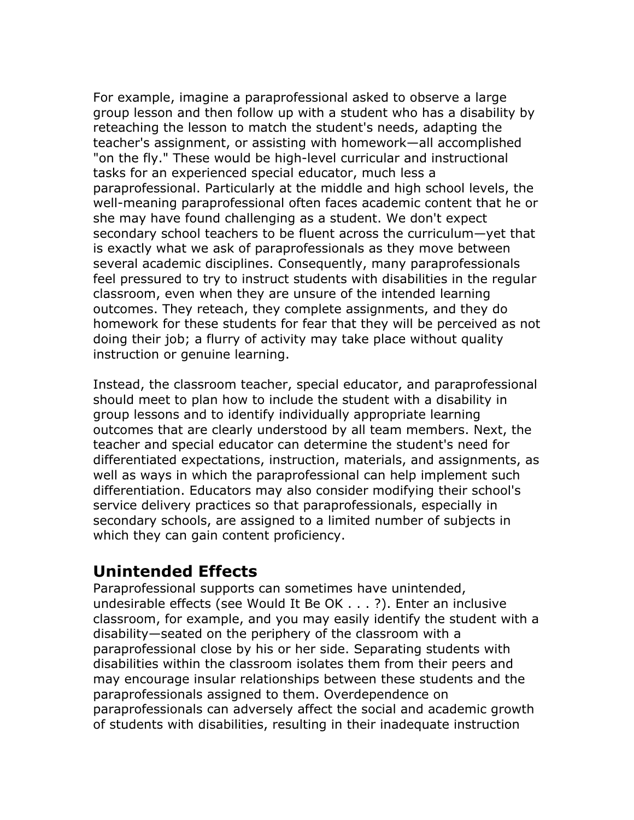For example, imagine a paraprofessional asked to observe a large group lesson and then follow up with a student who has a disability by reteaching the lesson to match the student's needs, adapting the teacher's assignment, or assisting with homework—all accomplished "on the fly." These would be high-level curricular and instructional tasks for an experienced special educator, much less a paraprofessional. Particularly at the middle and high school levels, the well-meaning paraprofessional often faces academic content that he or she may have found challenging as a student. We don't expect secondary school teachers to be fluent across the curriculum—yet that is exactly what we ask of paraprofessionals as they move between several academic disciplines. Consequently, many paraprofessionals feel pressured to try to instruct students with disabilities in the regular classroom, even when they are unsure of the intended learning outcomes. They reteach, they complete assignments, and they do homework for these students for fear that they will be perceived as not doing their job; a flurry of activity may take place without quality instruction or genuine learning.

Instead, the classroom teacher, special educator, and paraprofessional should meet to plan how to include the student with a disability in group lessons and to identify individually appropriate learning outcomes that are clearly understood by all team members. Next, the teacher and special educator can determine the student's need for differentiated expectations, instruction, materials, and assignments, as well as ways in which the paraprofessional can help implement such differentiation. Educators may also consider modifying their school's service delivery practices so that paraprofessionals, especially in secondary schools, are assigned to a limited number of subjects in which they can gain content proficiency.

#### **Unintended Effects**

Paraprofessional supports can sometimes have unintended, undesirable effects (see Would It Be OK . . . ?). Enter an inclusive classroom, for example, and you may easily identify the student with a disability—seated on the periphery of the classroom with a paraprofessional close by his or her side. Separating students with disabilities within the classroom isolates them from their peers and may encourage insular relationships between these students and the paraprofessionals assigned to them. Overdependence on paraprofessionals can adversely affect the social and academic growth of students with disabilities, resulting in their inadequate instruction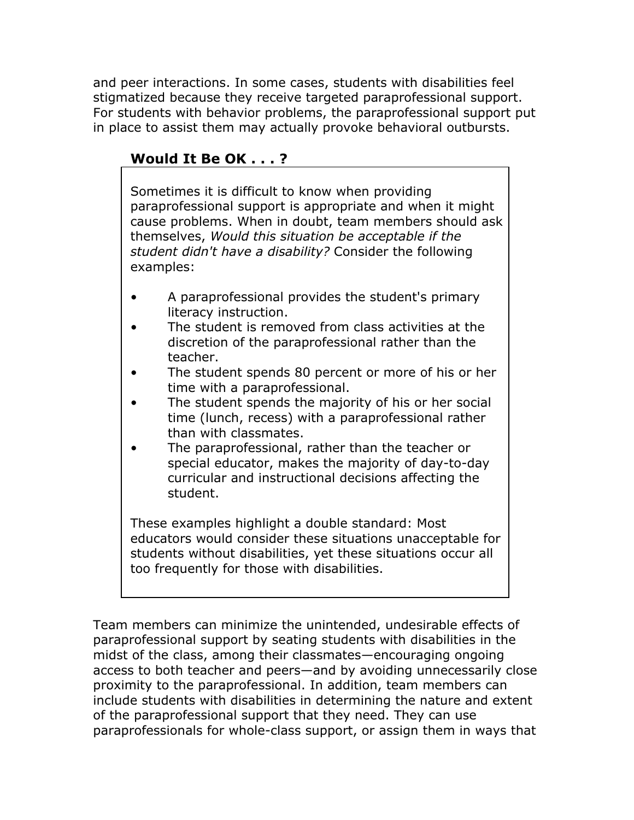and peer interactions. In some cases, students with disabilities feel stigmatized because they receive targeted paraprofessional support. For students with behavior problems, the paraprofessional support put in place to assist them may actually provoke behavioral outbursts.

#### **Would It Be OK . . . ?**

Sometimes it is difficult to know when providing paraprofessional support is appropriate and when it might cause problems. When in doubt, team members should ask themselves, *Would this situation be acceptable if the student didn't have a disability?* Consider the following examples:

- A paraprofessional provides the student's primary literacy instruction.
- The student is removed from class activities at the discretion of the paraprofessional rather than the teacher.
- The student spends 80 percent or more of his or her time with a paraprofessional.
- The student spends the majority of his or her social time (lunch, recess) with a paraprofessional rather than with classmates.
- The paraprofessional, rather than the teacher or special educator, makes the majority of day-to-day curricular and instructional decisions affecting the student.

These examples highlight a double standard: Most educators would consider these situations unacceptable for students without disabilities, yet these situations occur all too frequently for those with disabilities.

Team members can minimize the unintended, undesirable effects of paraprofessional support by seating students with disabilities in the midst of the class, among their classmates—encouraging ongoing access to both teacher and peers—and by avoiding unnecessarily close proximity to the paraprofessional. In addition, team members can include students with disabilities in determining the nature and extent of the paraprofessional support that they need. They can use paraprofessionals for whole-class support, or assign them in ways that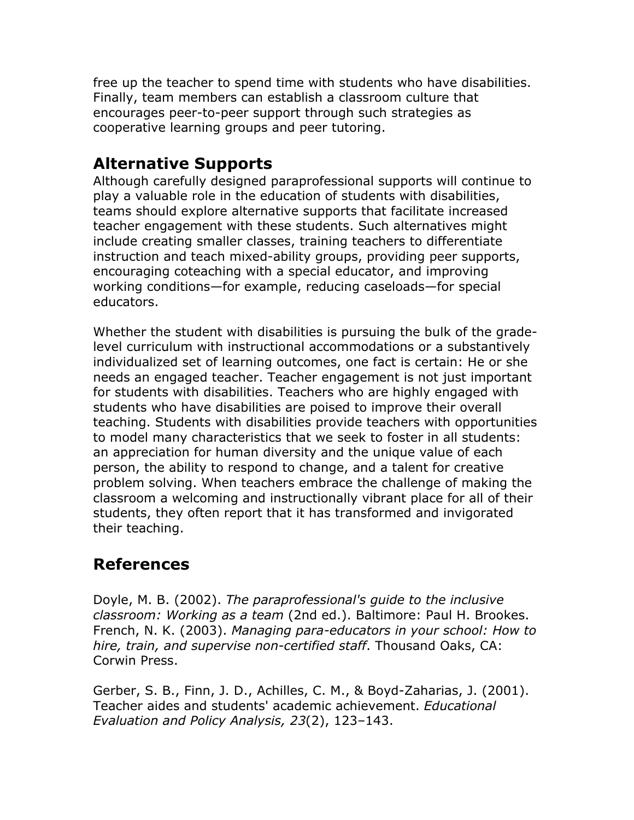free up the teacher to spend time with students who have disabilities. Finally, team members can establish a classroom culture that encourages peer-to-peer support through such strategies as cooperative learning groups and peer tutoring.

## **Alternative Supports**

Although carefully designed paraprofessional supports will continue to play a valuable role in the education of students with disabilities, teams should explore alternative supports that facilitate increased teacher engagement with these students. Such alternatives might include creating smaller classes, training teachers to differentiate instruction and teach mixed-ability groups, providing peer supports, encouraging coteaching with a special educator, and improving working conditions—for example, reducing caseloads—for special educators.

Whether the student with disabilities is pursuing the bulk of the gradelevel curriculum with instructional accommodations or a substantively individualized set of learning outcomes, one fact is certain: He or she needs an engaged teacher. Teacher engagement is not just important for students with disabilities. Teachers who are highly engaged with students who have disabilities are poised to improve their overall teaching. Students with disabilities provide teachers with opportunities to model many characteristics that we seek to foster in all students: an appreciation for human diversity and the unique value of each person, the ability to respond to change, and a talent for creative problem solving. When teachers embrace the challenge of making the classroom a welcoming and instructionally vibrant place for all of their students, they often report that it has transformed and invigorated their teaching.

#### **References**

Doyle, M. B. (2002). *The paraprofessional's guide to the inclusive classroom: Working as a team* (2nd ed.). Baltimore: Paul H. Brookes. French, N. K. (2003). *Managing para-educators in your school: How to hire, train, and supervise non-certified staff*. Thousand Oaks, CA: Corwin Press.

Gerber, S. B., Finn, J. D., Achilles, C. M., & Boyd-Zaharias, J. (2001). Teacher aides and students' academic achievement. *Educational Evaluation and Policy Analysis, 23*(2), 123–143.